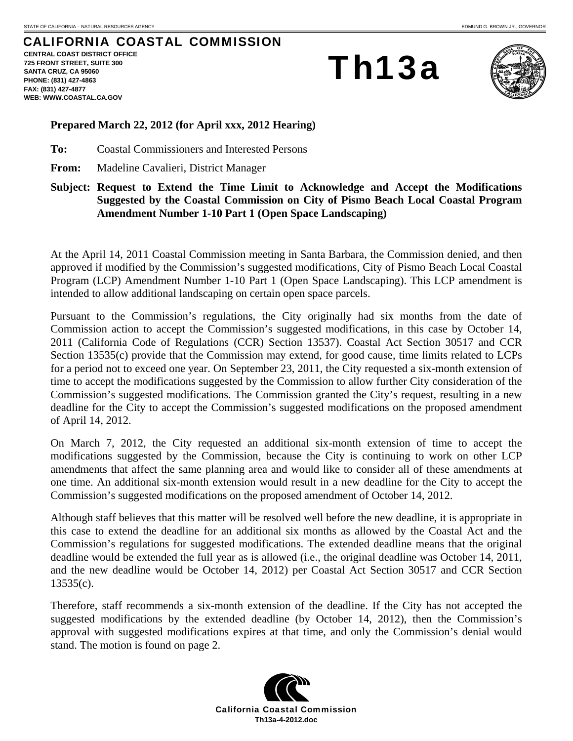## CALIFORNIA COASTAL COMMISSION

**CENTRAL COAST DISTRICT OFFICE 725 FRONT STREET, SUITE 300 SANTA CRUZ, CA 95060 PHONE: (831) 427-4863 FAX: (831) 427-4877 WEB: WWW.COASTAL.CA.GOV**

Th13a



## **Prepared March 22, 2012 (for April xxx, 2012 Hearing)**

**To:** Coastal Commissioners and Interested Persons

**From:** Madeline Cavalieri, District Manager

**Subject: Request to Extend the Time Limit to Acknowledge and Accept the Modifications Suggested by the Coastal Commission on City of Pismo Beach Local Coastal Program Amendment Number 1-10 Part 1 (Open Space Landscaping)** 

At the April 14, 2011 Coastal Commission meeting in Santa Barbara, the Commission denied, and then approved if modified by the Commission's suggested modifications, City of Pismo Beach Local Coastal Program (LCP) Amendment Number 1-10 Part 1 (Open Space Landscaping). This LCP amendment is intended to allow additional landscaping on certain open space parcels.

Pursuant to the Commission's regulations, the City originally had six months from the date of Commission action to accept the Commission's suggested modifications, in this case by October 14, 2011 (California Code of Regulations (CCR) Section 13537). Coastal Act Section 30517 and CCR Section 13535(c) provide that the Commission may extend, for good cause, time limits related to LCPs for a period not to exceed one year. On September 23, 2011, the City requested a six-month extension of time to accept the modifications suggested by the Commission to allow further City consideration of the Commission's suggested modifications. The Commission granted the City's request, resulting in a new deadline for the City to accept the Commission's suggested modifications on the proposed amendment of April 14, 2012.

On March 7, 2012, the City requested an additional six-month extension of time to accept the modifications suggested by the Commission, because the City is continuing to work on other LCP amendments that affect the same planning area and would like to consider all of these amendments at one time. An additional six-month extension would result in a new deadline for the City to accept the Commission's suggested modifications on the proposed amendment of October 14, 2012.

Although staff believes that this matter will be resolved well before the new deadline, it is appropriate in this case to extend the deadline for an additional six months as allowed by the Coastal Act and the Commission's regulations for suggested modifications. The extended deadline means that the original deadline would be extended the full year as is allowed (i.e., the original deadline was October 14, 2011, and the new deadline would be October 14, 2012) per Coastal Act Section 30517 and CCR Section 13535(c).

Therefore, staff recommends a six-month extension of the deadline. If the City has not accepted the suggested modifications by the extended deadline (by October 14, 2012), then the Commission's approval with suggested modifications expires at that time, and only the Commission's denial would stand. The motion is found on page 2.